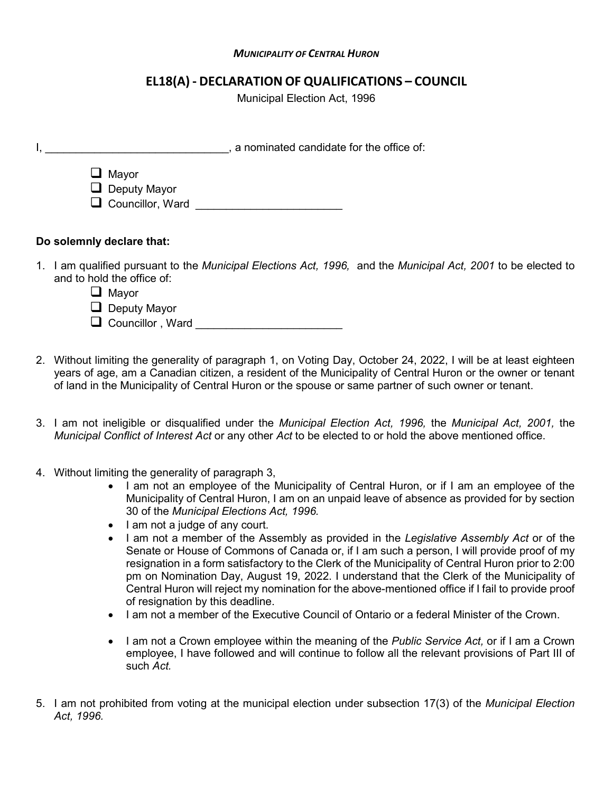## *MUNICIPALITY OF CENTRAL HURON*

## **EL18(A) - DECLARATION OF QUALIFICATIONS – COUNCIL**

Municipal Election Act, 1996

|    | a nominated candidate for the office of:                                                                                                                                 |
|----|--------------------------------------------------------------------------------------------------------------------------------------------------------------------------|
|    | u<br>Mayor<br>$\Box$ Deputy Mayor<br>$\Box$ Councillor, Ward                                                                                                             |
|    | Do solemnly declare that:                                                                                                                                                |
| 1. | I am qualified pursuant to the Municipal Elections Act, 1996, and the Municipal Act, 2001 to be elected to<br>and to hold the office of:<br>$\Box$ Mayor<br>Deputy Mayor |

- 2. Without limiting the generality of paragraph 1, on Voting Day, October 24, 2022, I will be at least eighteen years of age, am a Canadian citizen, a resident of the Municipality of Central Huron or the owner or tenant
	- 3. I am not ineligible or disqualified under the *Municipal Election Act, 1996,* the *Municipal Act, 2001,* the *Municipal Conflict of Interest Act* or any other *Act* to be elected to or hold the above mentioned office.

of land in the Municipality of Central Huron or the spouse or same partner of such owner or tenant.

- 4. Without limiting the generality of paragraph 3,
	- I am not an employee of the Municipality of Central Huron, or if I am an employee of the Municipality of Central Huron, I am on an unpaid leave of absence as provided for by section 30 of the *Municipal Elections Act, 1996.*
	- I am not a judge of any court.

**□** Councillor , Ward

- I am not a member of the Assembly as provided in the *Legislative Assembly Act* or of the Senate or House of Commons of Canada or, if I am such a person, I will provide proof of my resignation in a form satisfactory to the Clerk of the Municipality of Central Huron prior to 2:00 pm on Nomination Day, August 19, 2022. I understand that the Clerk of the Municipality of Central Huron will reject my nomination for the above-mentioned office if I fail to provide proof of resignation by this deadline.
- I am not a member of the Executive Council of Ontario or a federal Minister of the Crown.
- I am not a Crown employee within the meaning of the *Public Service Act,* or if I am a Crown employee, I have followed and will continue to follow all the relevant provisions of Part III of such *Act.*
- 5. I am not prohibited from voting at the municipal election under subsection 17(3) of the *Municipal Election Act, 1996.*